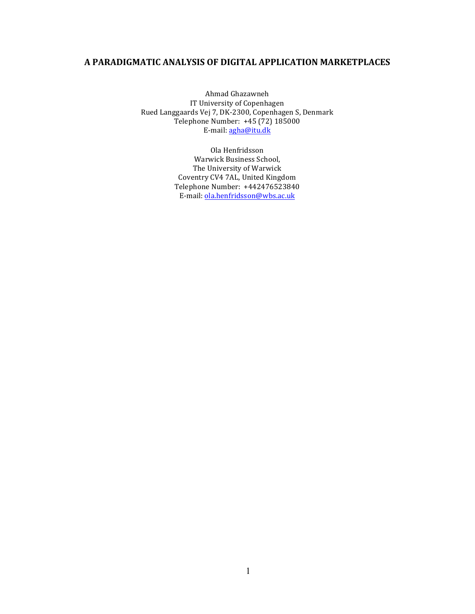# A PARADIGMATIC ANALYSIS OF DIGITAL APPLICATION MARKETPLACES

Ahmad Ghazawneh IT University of Copenhagen Rued Langgaards Vej 7, DK-2300, Copenhagen S, Denmark Telephone Number: +45 (72) 185000 E-mail: agha@itu.dk

> Ola Henfridsson Warwick Business School, The University of Warwick Coventry CV4 7AL, United Kingdom Telephone Number: +442476523840 E-mail: ola.henfridsson@wbs.ac.uk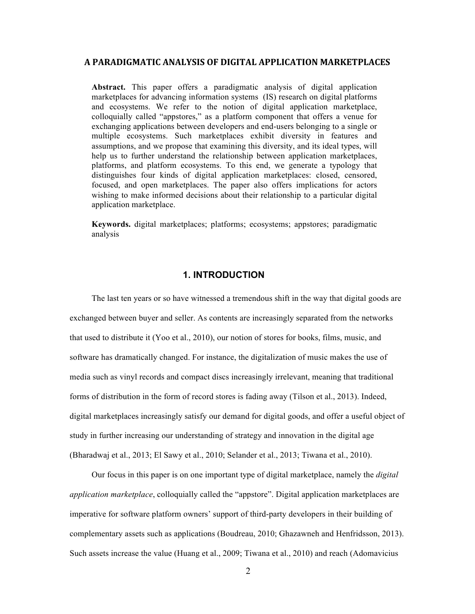## **A PARADIGMATIC ANALYSIS OF DIGITAL APPLICATION MARKETPLACES**

**Abstract.** This paper offers a paradigmatic analysis of digital application marketplaces for advancing information systems (IS) research on digital platforms and ecosystems. We refer to the notion of digital application marketplace, colloquially called "appstores," as a platform component that offers a venue for exchanging applications between developers and end-users belonging to a single or multiple ecosystems. Such marketplaces exhibit diversity in features and assumptions, and we propose that examining this diversity, and its ideal types, will help us to further understand the relationship between application marketplaces, platforms, and platform ecosystems. To this end, we generate a typology that distinguishes four kinds of digital application marketplaces: closed, censored, focused, and open marketplaces. The paper also offers implications for actors wishing to make informed decisions about their relationship to a particular digital application marketplace.

**Keywords.** digital marketplaces; platforms; ecosystems; appstores; paradigmatic analysis

# **1. INTRODUCTION**

The last ten years or so have witnessed a tremendous shift in the way that digital goods are exchanged between buyer and seller. As contents are increasingly separated from the networks that used to distribute it (Yoo et al., 2010), our notion of stores for books, films, music, and software has dramatically changed. For instance, the digitalization of music makes the use of media such as vinyl records and compact discs increasingly irrelevant, meaning that traditional forms of distribution in the form of record stores is fading away (Tilson et al., 2013). Indeed, digital marketplaces increasingly satisfy our demand for digital goods, and offer a useful object of study in further increasing our understanding of strategy and innovation in the digital age (Bharadwaj et al., 2013; El Sawy et al., 2010; Selander et al., 2013; Tiwana et al., 2010).

Our focus in this paper is on one important type of digital marketplace, namely the *digital application marketplace*, colloquially called the "appstore". Digital application marketplaces are imperative for software platform owners' support of third-party developers in their building of complementary assets such as applications (Boudreau, 2010; Ghazawneh and Henfridsson, 2013). Such assets increase the value (Huang et al., 2009; Tiwana et al., 2010) and reach (Adomavicius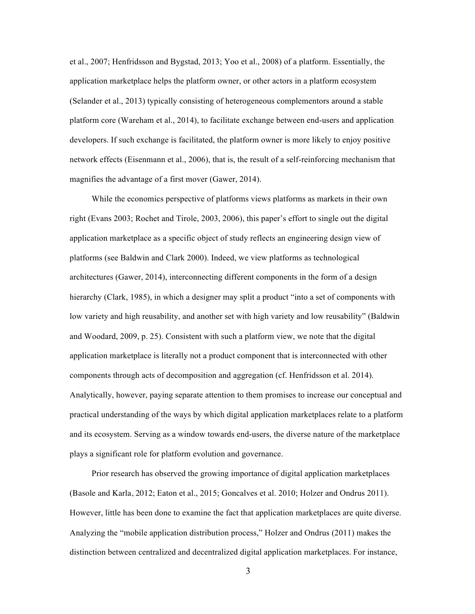et al., 2007; Henfridsson and Bygstad, 2013; Yoo et al., 2008) of a platform. Essentially, the application marketplace helps the platform owner, or other actors in a platform ecosystem (Selander et al., 2013) typically consisting of heterogeneous complementors around a stable platform core (Wareham et al., 2014), to facilitate exchange between end-users and application developers. If such exchange is facilitated, the platform owner is more likely to enjoy positive network effects (Eisenmann et al., 2006), that is, the result of a self-reinforcing mechanism that magnifies the advantage of a first mover (Gawer, 2014).

While the economics perspective of platforms views platforms as markets in their own right (Evans 2003; Rochet and Tirole, 2003, 2006), this paper's effort to single out the digital application marketplace as a specific object of study reflects an engineering design view of platforms (see Baldwin and Clark 2000). Indeed, we view platforms as technological architectures (Gawer, 2014), interconnecting different components in the form of a design hierarchy (Clark, 1985), in which a designer may split a product "into a set of components with low variety and high reusability, and another set with high variety and low reusability" (Baldwin and Woodard, 2009, p. 25). Consistent with such a platform view, we note that the digital application marketplace is literally not a product component that is interconnected with other components through acts of decomposition and aggregation (cf. Henfridsson et al. 2014). Analytically, however, paying separate attention to them promises to increase our conceptual and practical understanding of the ways by which digital application marketplaces relate to a platform and its ecosystem. Serving as a window towards end-users, the diverse nature of the marketplace plays a significant role for platform evolution and governance.

Prior research has observed the growing importance of digital application marketplaces (Basole and Karla, 2012; Eaton et al., 2015; Goncalves et al. 2010; Holzer and Ondrus 2011). However, little has been done to examine the fact that application marketplaces are quite diverse. Analyzing the "mobile application distribution process," Holzer and Ondrus (2011) makes the distinction between centralized and decentralized digital application marketplaces. For instance,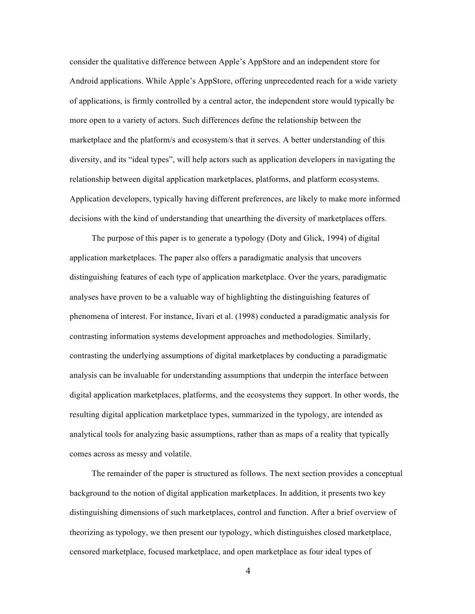consider the qualitative difference between Apple's AppStore and an independent store for Android applications. While Apple's AppStore, offering unprecedented reach for a wide variety of applications, is firmly controlled by a central actor, the independent store would typically be more open to a variety of actors. Such differences define the relationship between the marketplace and the platform/s and ecosystem/s that it serves. A better understanding of this diversity, and its "ideal types", will help actors such as application developers in navigating the relationship between digital application marketplaces, platforms, and platform ecosystems. Application developers, typically having different preferences, are likely to make more informed decisions with the kind of understanding that unearthing the diversity of marketplaces offers.

The purpose of this paper is to generate a typology (Doty and Glick, 1994) of digital application marketplaces. The paper also offers a paradigmatic analysis that uncovers distinguishing features of each type of application marketplace. Over the years, paradigmatic analyses have proven to be a valuable way of highlighting the distinguishing features of phenomena of interest. For instance, Iivari et al. (1998) conducted a paradigmatic analysis for contrasting information systems development approaches and methodologies. Similarly, contrasting the underlying assumptions of digital marketplaces by conducting a paradigmatic analysis can be invaluable for understanding assumptions that underpin the interface between digital application marketplaces, platforms, and the ecosystems they support. In other words, the resulting digital application marketplace types, summarized in the typology, are intended as analytical tools for analyzing basic assumptions, rather than as maps of a reality that typically comes across as messy and volatile.

The remainder of the paper is structured as follows. The next section provides a conceptual background to the notion of digital application marketplaces. In addition, it presents two key distinguishing dimensions of such marketplaces, control and function. After a brief overview of theorizing as typology, we then present our typology, which distinguishes closed marketplace, censored marketplace, focused marketplace, and open marketplace as four ideal types of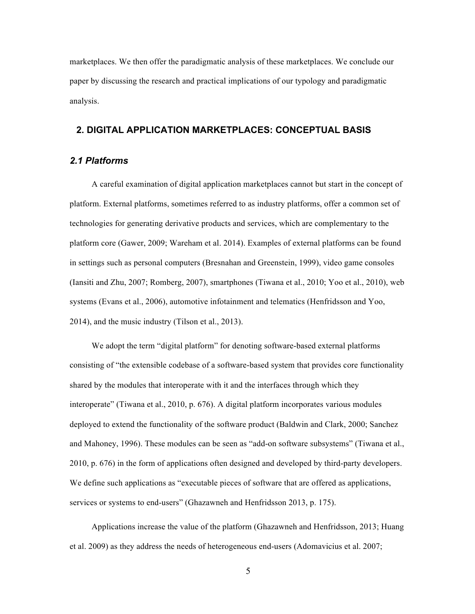marketplaces. We then offer the paradigmatic analysis of these marketplaces. We conclude our paper by discussing the research and practical implications of our typology and paradigmatic analysis.

## **2. DIGITAL APPLICATION MARKETPLACES: CONCEPTUAL BASIS**

## *2.1 Platforms*

A careful examination of digital application marketplaces cannot but start in the concept of platform. External platforms, sometimes referred to as industry platforms, offer a common set of technologies for generating derivative products and services, which are complementary to the platform core (Gawer, 2009; Wareham et al. 2014). Examples of external platforms can be found in settings such as personal computers (Bresnahan and Greenstein, 1999), video game consoles (Iansiti and Zhu, 2007; Romberg, 2007), smartphones (Tiwana et al., 2010; Yoo et al., 2010), web systems (Evans et al., 2006), automotive infotainment and telematics (Henfridsson and Yoo, 2014), and the music industry (Tilson et al., 2013).

We adopt the term "digital platform" for denoting software-based external platforms consisting of "the extensible codebase of a software-based system that provides core functionality shared by the modules that interoperate with it and the interfaces through which they interoperate" (Tiwana et al., 2010, p. 676). A digital platform incorporates various modules deployed to extend the functionality of the software product (Baldwin and Clark, 2000; Sanchez and Mahoney, 1996). These modules can be seen as "add-on software subsystems" (Tiwana et al., 2010, p. 676) in the form of applications often designed and developed by third-party developers. We define such applications as "executable pieces of software that are offered as applications, services or systems to end-users" (Ghazawneh and Henfridsson 2013, p. 175).

Applications increase the value of the platform (Ghazawneh and Henfridsson, 2013; Huang et al. 2009) as they address the needs of heterogeneous end-users (Adomavicius et al. 2007;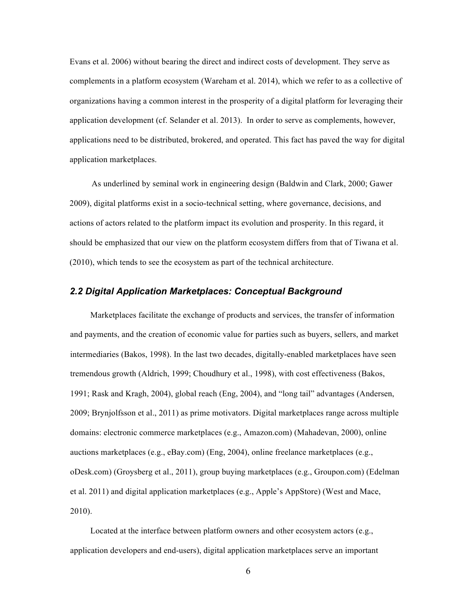Evans et al. 2006) without bearing the direct and indirect costs of development. They serve as complements in a platform ecosystem (Wareham et al. 2014), which we refer to as a collective of organizations having a common interest in the prosperity of a digital platform for leveraging their application development (cf. Selander et al. 2013). In order to serve as complements, however, applications need to be distributed, brokered, and operated. This fact has paved the way for digital application marketplaces.

As underlined by seminal work in engineering design (Baldwin and Clark, 2000; Gawer 2009), digital platforms exist in a socio-technical setting, where governance, decisions, and actions of actors related to the platform impact its evolution and prosperity. In this regard, it should be emphasized that our view on the platform ecosystem differs from that of Tiwana et al. (2010), which tends to see the ecosystem as part of the technical architecture.

## *2.2 Digital Application Marketplaces: Conceptual Background*

Marketplaces facilitate the exchange of products and services, the transfer of information and payments, and the creation of economic value for parties such as buyers, sellers, and market intermediaries (Bakos, 1998). In the last two decades, digitally-enabled marketplaces have seen tremendous growth (Aldrich, 1999; Choudhury et al., 1998), with cost effectiveness (Bakos, 1991; Rask and Kragh, 2004), global reach (Eng, 2004), and "long tail" advantages (Andersen, 2009; Brynjolfsson et al., 2011) as prime motivators. Digital marketplaces range across multiple domains: electronic commerce marketplaces (e.g., Amazon.com) (Mahadevan, 2000), online auctions marketplaces (e.g., eBay.com) (Eng, 2004), online freelance marketplaces (e.g., oDesk.com) (Groysberg et al., 2011), group buying marketplaces (e.g., Groupon.com) (Edelman et al. 2011) and digital application marketplaces (e.g., Apple's AppStore) (West and Mace, 2010).

Located at the interface between platform owners and other ecosystem actors (e.g., application developers and end-users), digital application marketplaces serve an important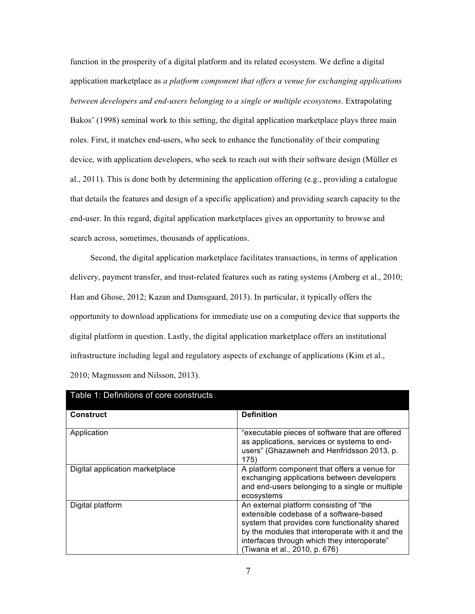function in the prosperity of a digital platform and its related ecosystem. We define a digital application marketplace as *a platform component that offers a venue for exchanging applications between developers and end-users belonging to a single or multiple ecosystems*. Extrapolating Bakos' (1998) seminal work to this setting, the digital application marketplace plays three main roles. First, it matches end-users, who seek to enhance the functionality of their computing device, with application developers, who seek to reach out with their software design (Müller et al., 2011). This is done both by determining the application offering (e.g., providing a catalogue that details the features and design of a specific application) and providing search capacity to the end-user. In this regard, digital application marketplaces gives an opportunity to browse and search across, sometimes, thousands of applications.

Second, the digital application marketplace facilitates transactions, in terms of application delivery, payment transfer, and trust-related features such as rating systems (Amberg et al., 2010; Han and Ghose, 2012; Kazan and Damsgaard, 2013). In particular, it typically offers the opportunity to download applications for immediate use on a computing device that supports the digital platform in question. Lastly, the digital application marketplace offers an institutional infrastructure including legal and regulatory aspects of exchange of applications (Kim et al., 2010; Magnusson and Nilsson, 2013).

| Table 1: Definitions of core constructs |                                                                                                                                                                                                                                                                          |  |  |  |  |  |
|-----------------------------------------|--------------------------------------------------------------------------------------------------------------------------------------------------------------------------------------------------------------------------------------------------------------------------|--|--|--|--|--|
| <b>Construct</b>                        | <b>Definition</b>                                                                                                                                                                                                                                                        |  |  |  |  |  |
| Application                             | "executable pieces of software that are offered<br>as applications, services or systems to end-<br>users" (Ghazawneh and Henfridsson 2013, p.<br>175)                                                                                                                    |  |  |  |  |  |
| Digital application marketplace         | A platform component that offers a venue for<br>exchanging applications between developers<br>and end-users belonging to a single or multiple<br>ecosystems                                                                                                              |  |  |  |  |  |
| Digital platform                        | An external platform consisting of "the<br>extensible codebase of a software-based<br>system that provides core functionality shared<br>by the modules that interoperate with it and the<br>interfaces through which they interoperate"<br>(Tiwana et al., 2010, p. 676) |  |  |  |  |  |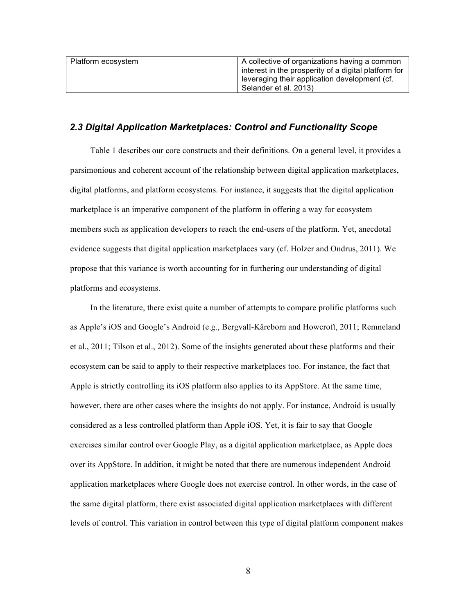| Platform ecosystem | A collective of organizations having a common<br>interest in the prosperity of a digital platform for<br>l leveraging their application development (cf. |  |  |  |
|--------------------|----------------------------------------------------------------------------------------------------------------------------------------------------------|--|--|--|
|                    | Selander et al. 2013)                                                                                                                                    |  |  |  |

#### *2.3 Digital Application Marketplaces: Control and Functionality Scope*

Table 1 describes our core constructs and their definitions. On a general level, it provides a parsimonious and coherent account of the relationship between digital application marketplaces, digital platforms, and platform ecosystems. For instance, it suggests that the digital application marketplace is an imperative component of the platform in offering a way for ecosystem members such as application developers to reach the end-users of the platform. Yet, anecdotal evidence suggests that digital application marketplaces vary (cf. Holzer and Ondrus, 2011). We propose that this variance is worth accounting for in furthering our understanding of digital platforms and ecosystems.

In the literature, there exist quite a number of attempts to compare prolific platforms such as Apple's iOS and Google's Android (e.g., Bergvall-Kåreborn and Howcroft, 2011; Remneland et al., 2011; Tilson et al., 2012). Some of the insights generated about these platforms and their ecosystem can be said to apply to their respective marketplaces too. For instance, the fact that Apple is strictly controlling its iOS platform also applies to its AppStore. At the same time, however, there are other cases where the insights do not apply. For instance, Android is usually considered as a less controlled platform than Apple iOS. Yet, it is fair to say that Google exercises similar control over Google Play, as a digital application marketplace, as Apple does over its AppStore. In addition, it might be noted that there are numerous independent Android application marketplaces where Google does not exercise control. In other words, in the case of the same digital platform, there exist associated digital application marketplaces with different levels of control. This variation in control between this type of digital platform component makes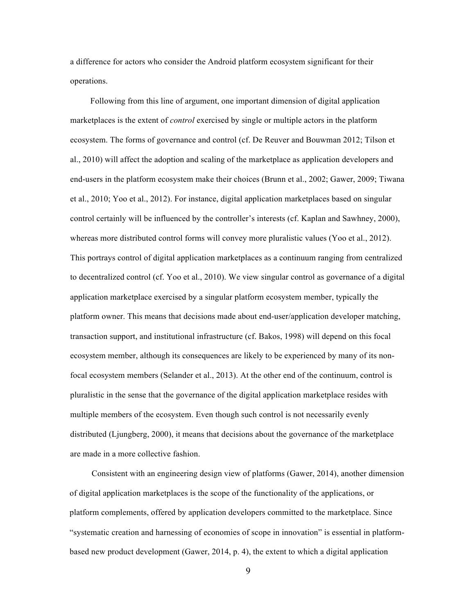a difference for actors who consider the Android platform ecosystem significant for their operations.

Following from this line of argument, one important dimension of digital application marketplaces is the extent of *control* exercised by single or multiple actors in the platform ecosystem. The forms of governance and control (cf. De Reuver and Bouwman 2012; Tilson et al., 2010) will affect the adoption and scaling of the marketplace as application developers and end-users in the platform ecosystem make their choices (Brunn et al., 2002; Gawer, 2009; Tiwana et al., 2010; Yoo et al., 2012). For instance, digital application marketplaces based on singular control certainly will be influenced by the controller's interests (cf. Kaplan and Sawhney, 2000), whereas more distributed control forms will convey more pluralistic values (Yoo et al., 2012). This portrays control of digital application marketplaces as a continuum ranging from centralized to decentralized control (cf. Yoo et al., 2010). We view singular control as governance of a digital application marketplace exercised by a singular platform ecosystem member, typically the platform owner. This means that decisions made about end-user/application developer matching, transaction support, and institutional infrastructure (cf. Bakos, 1998) will depend on this focal ecosystem member, although its consequences are likely to be experienced by many of its nonfocal ecosystem members (Selander et al., 2013). At the other end of the continuum, control is pluralistic in the sense that the governance of the digital application marketplace resides with multiple members of the ecosystem. Even though such control is not necessarily evenly distributed (Ljungberg, 2000), it means that decisions about the governance of the marketplace are made in a more collective fashion.

Consistent with an engineering design view of platforms (Gawer, 2014), another dimension of digital application marketplaces is the scope of the functionality of the applications, or platform complements, offered by application developers committed to the marketplace. Since "systematic creation and harnessing of economies of scope in innovation" is essential in platformbased new product development (Gawer, 2014, p. 4), the extent to which a digital application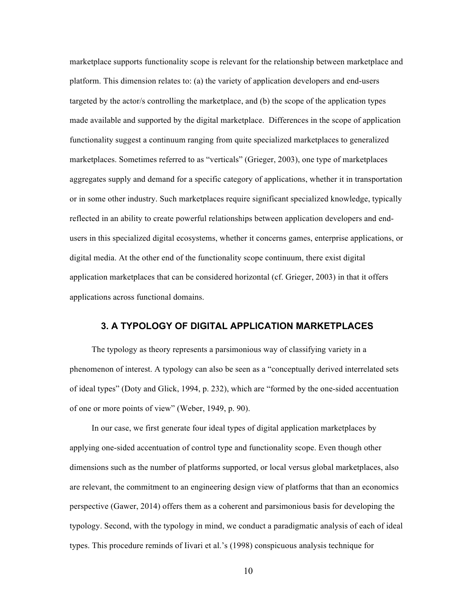marketplace supports functionality scope is relevant for the relationship between marketplace and platform. This dimension relates to: (a) the variety of application developers and end-users targeted by the actor/s controlling the marketplace, and (b) the scope of the application types made available and supported by the digital marketplace. Differences in the scope of application functionality suggest a continuum ranging from quite specialized marketplaces to generalized marketplaces. Sometimes referred to as "verticals" (Grieger, 2003), one type of marketplaces aggregates supply and demand for a specific category of applications, whether it in transportation or in some other industry. Such marketplaces require significant specialized knowledge, typically reflected in an ability to create powerful relationships between application developers and endusers in this specialized digital ecosystems, whether it concerns games, enterprise applications, or digital media. At the other end of the functionality scope continuum, there exist digital application marketplaces that can be considered horizontal (cf. Grieger, 2003) in that it offers applications across functional domains.

# **3. A TYPOLOGY OF DIGITAL APPLICATION MARKETPLACES**

The typology as theory represents a parsimonious way of classifying variety in a phenomenon of interest. A typology can also be seen as a "conceptually derived interrelated sets of ideal types" (Doty and Glick, 1994, p. 232), which are "formed by the one-sided accentuation of one or more points of view" (Weber, 1949, p. 90).

In our case, we first generate four ideal types of digital application marketplaces by applying one-sided accentuation of control type and functionality scope. Even though other dimensions such as the number of platforms supported, or local versus global marketplaces, also are relevant, the commitment to an engineering design view of platforms that than an economics perspective (Gawer, 2014) offers them as a coherent and parsimonious basis for developing the typology. Second, with the typology in mind, we conduct a paradigmatic analysis of each of ideal types. This procedure reminds of Iivari et al.'s (1998) conspicuous analysis technique for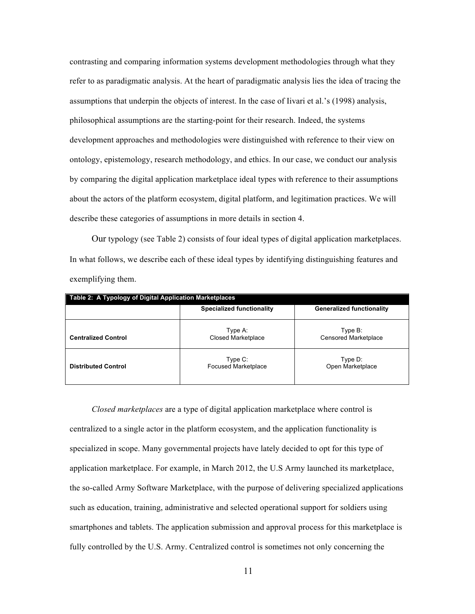contrasting and comparing information systems development methodologies through what they refer to as paradigmatic analysis. At the heart of paradigmatic analysis lies the idea of tracing the assumptions that underpin the objects of interest. In the case of Iivari et al.'s (1998) analysis, philosophical assumptions are the starting-point for their research. Indeed, the systems development approaches and methodologies were distinguished with reference to their view on ontology, epistemology, research methodology, and ethics. In our case, we conduct our analysis by comparing the digital application marketplace ideal types with reference to their assumptions about the actors of the platform ecosystem, digital platform, and legitimation practices. We will describe these categories of assumptions in more details in section 4.

Our typology (see Table 2) consists of four ideal types of digital application marketplaces. In what follows, we describe each of these ideal types by identifying distinguishing features and exemplifying them.

| Table 2: A Typology of Digital Application Marketplaces |                                       |                                           |  |  |  |  |  |
|---------------------------------------------------------|---------------------------------------|-------------------------------------------|--|--|--|--|--|
|                                                         | <b>Specialized functionality</b>      | <b>Generalized functionality</b>          |  |  |  |  |  |
| <b>Centralized Control</b>                              | Type A:<br><b>Closed Marketplace</b>  | Type $B$ :<br><b>Censored Marketplace</b> |  |  |  |  |  |
| <b>Distributed Control</b>                              | Type C:<br><b>Focused Marketplace</b> | Type D:<br>Open Marketplace               |  |  |  |  |  |

*Closed marketplaces* are a type of digital application marketplace where control is centralized to a single actor in the platform ecosystem, and the application functionality is specialized in scope. Many governmental projects have lately decided to opt for this type of application marketplace. For example, in March 2012, the U.S Army launched its marketplace, the so-called Army Software Marketplace, with the purpose of delivering specialized applications such as education, training, administrative and selected operational support for soldiers using smartphones and tablets. The application submission and approval process for this marketplace is fully controlled by the U.S. Army. Centralized control is sometimes not only concerning the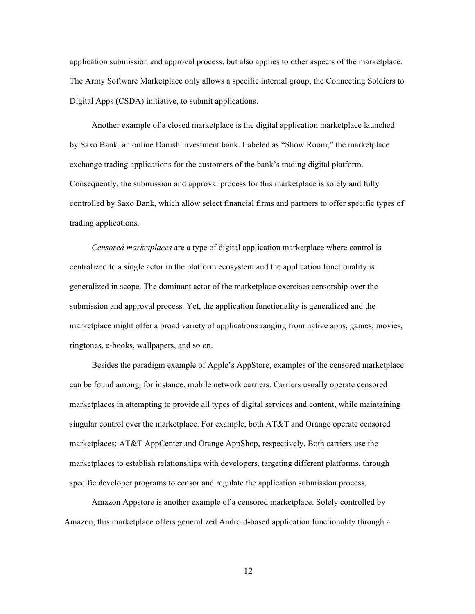application submission and approval process, but also applies to other aspects of the marketplace. The Army Software Marketplace only allows a specific internal group, the Connecting Soldiers to Digital Apps (CSDA) initiative, to submit applications.

Another example of a closed marketplace is the digital application marketplace launched by Saxo Bank, an online Danish investment bank. Labeled as "Show Room," the marketplace exchange trading applications for the customers of the bank's trading digital platform. Consequently, the submission and approval process for this marketplace is solely and fully controlled by Saxo Bank, which allow select financial firms and partners to offer specific types of trading applications.

*Censored marketplaces* are a type of digital application marketplace where control is centralized to a single actor in the platform ecosystem and the application functionality is generalized in scope. The dominant actor of the marketplace exercises censorship over the submission and approval process. Yet, the application functionality is generalized and the marketplace might offer a broad variety of applications ranging from native apps, games, movies, ringtones, e-books, wallpapers, and so on.

Besides the paradigm example of Apple's AppStore, examples of the censored marketplace can be found among, for instance, mobile network carriers. Carriers usually operate censored marketplaces in attempting to provide all types of digital services and content, while maintaining singular control over the marketplace. For example, both AT&T and Orange operate censored marketplaces: AT&T AppCenter and Orange AppShop, respectively. Both carriers use the marketplaces to establish relationships with developers, targeting different platforms, through specific developer programs to censor and regulate the application submission process.

Amazon Appstore is another example of a censored marketplace. Solely controlled by Amazon, this marketplace offers generalized Android-based application functionality through a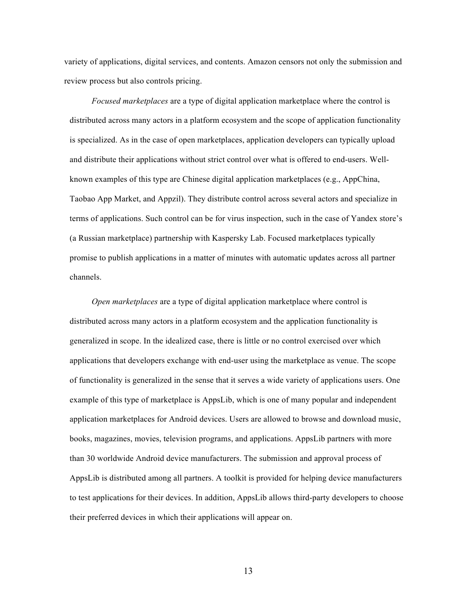variety of applications, digital services, and contents. Amazon censors not only the submission and review process but also controls pricing.

*Focused marketplaces* are a type of digital application marketplace where the control is distributed across many actors in a platform ecosystem and the scope of application functionality is specialized. As in the case of open marketplaces, application developers can typically upload and distribute their applications without strict control over what is offered to end-users. Wellknown examples of this type are Chinese digital application marketplaces (e.g., AppChina, Taobao App Market, and Appzil). They distribute control across several actors and specialize in terms of applications. Such control can be for virus inspection, such in the case of Yandex store's (a Russian marketplace) partnership with Kaspersky Lab. Focused marketplaces typically promise to publish applications in a matter of minutes with automatic updates across all partner channels.

*Open marketplaces* are a type of digital application marketplace where control is distributed across many actors in a platform ecosystem and the application functionality is generalized in scope. In the idealized case, there is little or no control exercised over which applications that developers exchange with end-user using the marketplace as venue. The scope of functionality is generalized in the sense that it serves a wide variety of applications users. One example of this type of marketplace is AppsLib, which is one of many popular and independent application marketplaces for Android devices. Users are allowed to browse and download music, books, magazines, movies, television programs, and applications. AppsLib partners with more than 30 worldwide Android device manufacturers. The submission and approval process of AppsLib is distributed among all partners. A toolkit is provided for helping device manufacturers to test applications for their devices. In addition, AppsLib allows third-party developers to choose their preferred devices in which their applications will appear on.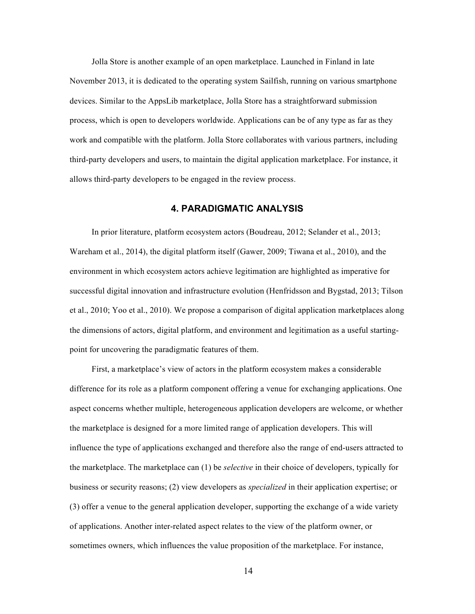Jolla Store is another example of an open marketplace. Launched in Finland in late November 2013, it is dedicated to the operating system Sailfish, running on various smartphone devices. Similar to the AppsLib marketplace, Jolla Store has a straightforward submission process, which is open to developers worldwide. Applications can be of any type as far as they work and compatible with the platform. Jolla Store collaborates with various partners, including third-party developers and users, to maintain the digital application marketplace. For instance, it allows third-party developers to be engaged in the review process.

## **4. PARADIGMATIC ANALYSIS**

In prior literature, platform ecosystem actors (Boudreau, 2012; Selander et al., 2013; Wareham et al., 2014), the digital platform itself (Gawer, 2009; Tiwana et al., 2010), and the environment in which ecosystem actors achieve legitimation are highlighted as imperative for successful digital innovation and infrastructure evolution (Henfridsson and Bygstad, 2013; Tilson et al., 2010; Yoo et al., 2010). We propose a comparison of digital application marketplaces along the dimensions of actors, digital platform, and environment and legitimation as a useful startingpoint for uncovering the paradigmatic features of them.

First, a marketplace's view of actors in the platform ecosystem makes a considerable difference for its role as a platform component offering a venue for exchanging applications. One aspect concerns whether multiple, heterogeneous application developers are welcome, or whether the marketplace is designed for a more limited range of application developers. This will influence the type of applications exchanged and therefore also the range of end-users attracted to the marketplace. The marketplace can (1) be *selective* in their choice of developers, typically for business or security reasons; (2) view developers as *specialized* in their application expertise; or (3) offer a venue to the general application developer, supporting the exchange of a wide variety of applications. Another inter-related aspect relates to the view of the platform owner, or sometimes owners, which influences the value proposition of the marketplace. For instance,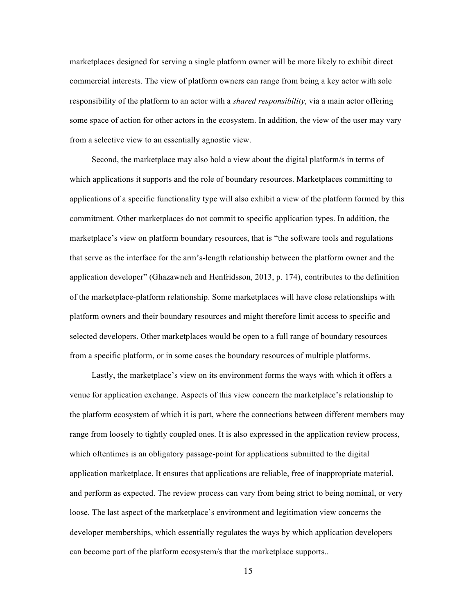marketplaces designed for serving a single platform owner will be more likely to exhibit direct commercial interests. The view of platform owners can range from being a key actor with sole responsibility of the platform to an actor with a *shared responsibility*, via a main actor offering some space of action for other actors in the ecosystem. In addition, the view of the user may vary from a selective view to an essentially agnostic view.

Second, the marketplace may also hold a view about the digital platform/s in terms of which applications it supports and the role of boundary resources. Marketplaces committing to applications of a specific functionality type will also exhibit a view of the platform formed by this commitment. Other marketplaces do not commit to specific application types. In addition, the marketplace's view on platform boundary resources, that is "the software tools and regulations that serve as the interface for the arm's-length relationship between the platform owner and the application developer" (Ghazawneh and Henfridsson, 2013, p. 174), contributes to the definition of the marketplace-platform relationship. Some marketplaces will have close relationships with platform owners and their boundary resources and might therefore limit access to specific and selected developers. Other marketplaces would be open to a full range of boundary resources from a specific platform, or in some cases the boundary resources of multiple platforms.

Lastly, the marketplace's view on its environment forms the ways with which it offers a venue for application exchange. Aspects of this view concern the marketplace's relationship to the platform ecosystem of which it is part, where the connections between different members may range from loosely to tightly coupled ones. It is also expressed in the application review process, which oftentimes is an obligatory passage-point for applications submitted to the digital application marketplace. It ensures that applications are reliable, free of inappropriate material, and perform as expected. The review process can vary from being strict to being nominal, or very loose. The last aspect of the marketplace's environment and legitimation view concerns the developer memberships, which essentially regulates the ways by which application developers can become part of the platform ecosystem/s that the marketplace supports..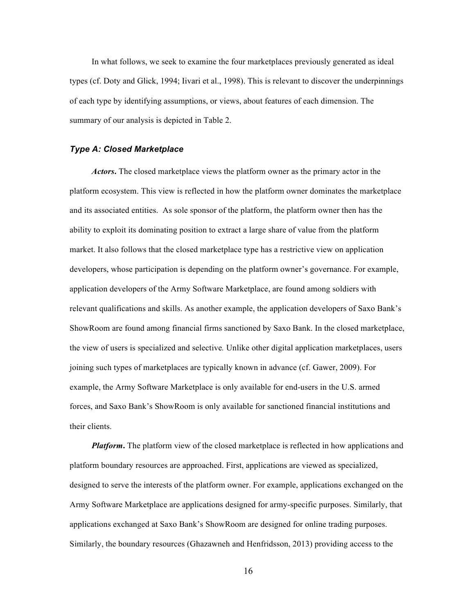In what follows, we seek to examine the four marketplaces previously generated as ideal types (cf. Doty and Glick, 1994; Iivari et al., 1998). This is relevant to discover the underpinnings of each type by identifying assumptions, or views, about features of each dimension. The summary of our analysis is depicted in Table 2.

## *Type A: Closed Marketplace*

*Actors***.** The closed marketplace views the platform owner as the primary actor in the platform ecosystem. This view is reflected in how the platform owner dominates the marketplace and its associated entities. As sole sponsor of the platform, the platform owner then has the ability to exploit its dominating position to extract a large share of value from the platform market. It also follows that the closed marketplace type has a restrictive view on application developers, whose participation is depending on the platform owner's governance. For example, application developers of the Army Software Marketplace, are found among soldiers with relevant qualifications and skills. As another example, the application developers of Saxo Bank's ShowRoom are found among financial firms sanctioned by Saxo Bank. In the closed marketplace, the view of users is specialized and selective*.* Unlike other digital application marketplaces, users joining such types of marketplaces are typically known in advance (cf. Gawer, 2009). For example, the Army Software Marketplace is only available for end-users in the U.S. armed forces, and Saxo Bank's ShowRoom is only available for sanctioned financial institutions and their clients.

*Platform*. The platform view of the closed marketplace is reflected in how applications and platform boundary resources are approached. First, applications are viewed as specialized, designed to serve the interests of the platform owner. For example, applications exchanged on the Army Software Marketplace are applications designed for army-specific purposes. Similarly, that applications exchanged at Saxo Bank's ShowRoom are designed for online trading purposes. Similarly, the boundary resources (Ghazawneh and Henfridsson, 2013) providing access to the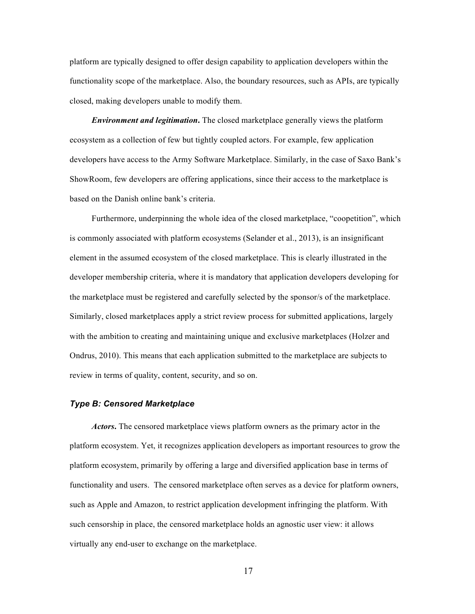platform are typically designed to offer design capability to application developers within the functionality scope of the marketplace. Also, the boundary resources, such as APIs, are typically closed, making developers unable to modify them.

*Environment and legitimation***.** The closed marketplace generally views the platform ecosystem as a collection of few but tightly coupled actors. For example, few application developers have access to the Army Software Marketplace. Similarly, in the case of Saxo Bank's ShowRoom, few developers are offering applications, since their access to the marketplace is based on the Danish online bank's criteria.

Furthermore, underpinning the whole idea of the closed marketplace, "coopetition", which is commonly associated with platform ecosystems (Selander et al., 2013), is an insignificant element in the assumed ecosystem of the closed marketplace. This is clearly illustrated in the developer membership criteria, where it is mandatory that application developers developing for the marketplace must be registered and carefully selected by the sponsor/s of the marketplace. Similarly, closed marketplaces apply a strict review process for submitted applications, largely with the ambition to creating and maintaining unique and exclusive marketplaces (Holzer and Ondrus, 2010). This means that each application submitted to the marketplace are subjects to review in terms of quality, content, security, and so on.

#### *Type B: Censored Marketplace*

*Actors***.** The censored marketplace views platform owners as the primary actor in the platform ecosystem. Yet, it recognizes application developers as important resources to grow the platform ecosystem, primarily by offering a large and diversified application base in terms of functionality and users. The censored marketplace often serves as a device for platform owners, such as Apple and Amazon, to restrict application development infringing the platform. With such censorship in place, the censored marketplace holds an agnostic user view: it allows virtually any end-user to exchange on the marketplace.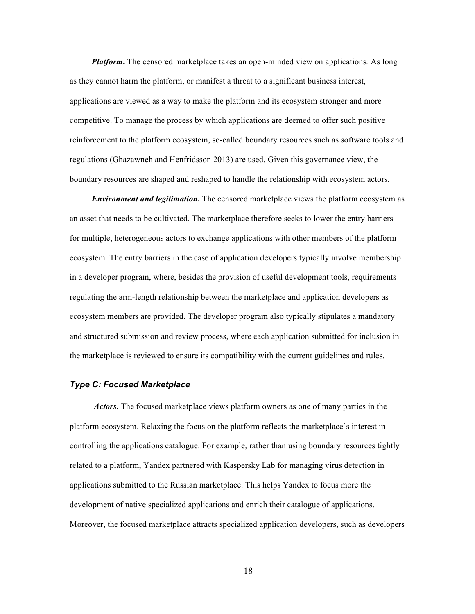*Platform***.** The censored marketplace takes an open-minded view on applications*.* As long as they cannot harm the platform, or manifest a threat to a significant business interest, applications are viewed as a way to make the platform and its ecosystem stronger and more competitive. To manage the process by which applications are deemed to offer such positive reinforcement to the platform ecosystem, so-called boundary resources such as software tools and regulations (Ghazawneh and Henfridsson 2013) are used. Given this governance view, the boundary resources are shaped and reshaped to handle the relationship with ecosystem actors.

*Environment and legitimation***.** The censored marketplace views the platform ecosystem as an asset that needs to be cultivated. The marketplace therefore seeks to lower the entry barriers for multiple, heterogeneous actors to exchange applications with other members of the platform ecosystem. The entry barriers in the case of application developers typically involve membership in a developer program, where, besides the provision of useful development tools, requirements regulating the arm-length relationship between the marketplace and application developers as ecosystem members are provided. The developer program also typically stipulates a mandatory and structured submission and review process, where each application submitted for inclusion in the marketplace is reviewed to ensure its compatibility with the current guidelines and rules.

#### *Type C: Focused Marketplace*

*Actors***.** The focused marketplace views platform owners as one of many parties in the platform ecosystem. Relaxing the focus on the platform reflects the marketplace's interest in controlling the applications catalogue. For example, rather than using boundary resources tightly related to a platform, Yandex partnered with Kaspersky Lab for managing virus detection in applications submitted to the Russian marketplace. This helps Yandex to focus more the development of native specialized applications and enrich their catalogue of applications. Moreover, the focused marketplace attracts specialized application developers, such as developers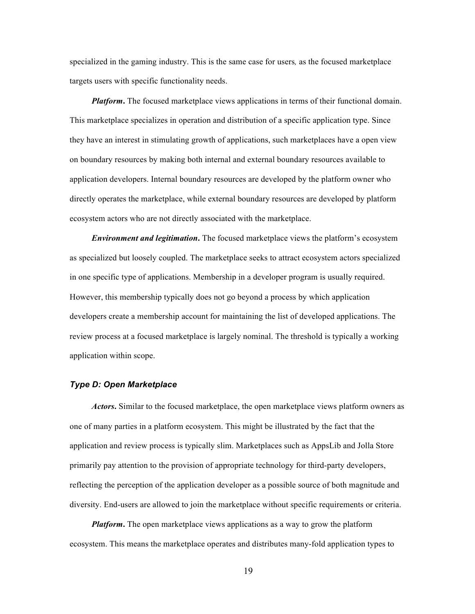specialized in the gaming industry. This is the same case for users*,* as the focused marketplace targets users with specific functionality needs.

*Platform***.** The focused marketplace views applications in terms of their functional domain. This marketplace specializes in operation and distribution of a specific application type. Since they have an interest in stimulating growth of applications, such marketplaces have a open view on boundary resources by making both internal and external boundary resources available to application developers. Internal boundary resources are developed by the platform owner who directly operates the marketplace, while external boundary resources are developed by platform ecosystem actors who are not directly associated with the marketplace.

*Environment and legitimation***.** The focused marketplace views the platform's ecosystem as specialized but loosely coupled. The marketplace seeks to attract ecosystem actors specialized in one specific type of applications. Membership in a developer program is usually required. However, this membership typically does not go beyond a process by which application developers create a membership account for maintaining the list of developed applications. The review process at a focused marketplace is largely nominal. The threshold is typically a working application within scope.

## *Type D: Open Marketplace*

*Actors***.** Similar to the focused marketplace, the open marketplace views platform owners as one of many parties in a platform ecosystem. This might be illustrated by the fact that the application and review process is typically slim. Marketplaces such as AppsLib and Jolla Store primarily pay attention to the provision of appropriate technology for third-party developers, reflecting the perception of the application developer as a possible source of both magnitude and diversity. End-users are allowed to join the marketplace without specific requirements or criteria.

*Platform***.** The open marketplace views applications as a way to grow the platform ecosystem. This means the marketplace operates and distributes many-fold application types to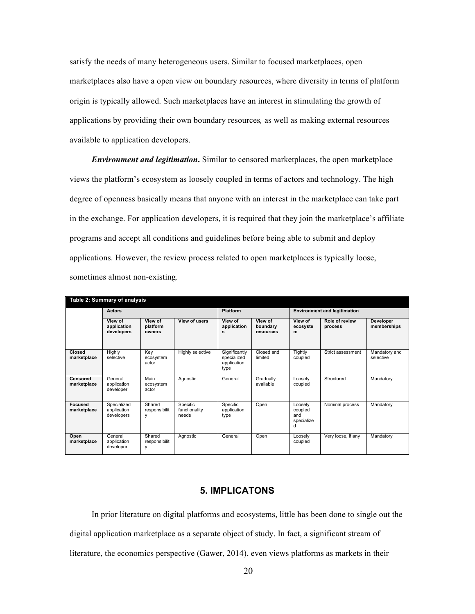satisfy the needs of many heterogeneous users. Similar to focused marketplaces, open marketplaces also have a open view on boundary resources, where diversity in terms of platform origin is typically allowed. Such marketplaces have an interest in stimulating the growth of applications by providing their own boundary resources*,* as well as making external resources available to application developers.

*Environment and legitimation***.** Similar to censored marketplaces, the open marketplace views the platform's ecosystem as loosely coupled in terms of actors and technology. The high degree of openness basically means that anyone with an interest in the marketplace can take part in the exchange. For application developers, it is required that they join the marketplace's affiliate programs and accept all conditions and guidelines before being able to submit and deploy applications. However, the review process related to open marketplaces is typically loose, sometimes almost non-existing.

| Table 2: Summary of analysis |                                          |                               |                                    |                                                     |                                  |                                              |                           |                            |
|------------------------------|------------------------------------------|-------------------------------|------------------------------------|-----------------------------------------------------|----------------------------------|----------------------------------------------|---------------------------|----------------------------|
|                              | <b>Actors</b>                            |                               |                                    | Platform                                            |                                  | <b>Environment and legitimation</b>          |                           |                            |
|                              | View of<br>application<br>developers     | View of<br>platform<br>owners | View of users                      | View of<br>application<br>s                         | View of<br>boundary<br>resources | View of<br>ecosyste<br>m                     | Role of review<br>process | Developer<br>memberships   |
| Closed<br>marketplace        | Highly<br>selective                      | Key<br>ecosystem<br>actor     | Highly selective                   | Significantly<br>specialized<br>application<br>type | Closed and<br>limited            | Tightly<br>coupled                           | Strict assessment         | Mandatory and<br>selective |
| Censored<br>marketplace      | General<br>application<br>developer      | Main<br>ecosystem<br>actor    | Agnostic                           | General                                             | Gradually<br>available           | Loosely<br>coupled                           | Structured                | Mandatory                  |
| Focused<br>marketplace       | Specialized<br>application<br>developers | Shared<br>responsibilit<br>y  | Specific<br>functionality<br>needs | Specific<br>application<br>type                     | Open                             | Loosely<br>coupled<br>and<br>specialize<br>d | Nominal process           | Mandatory                  |
| Open<br>marketplace          | General<br>application<br>developer      | Shared<br>responsibilit<br>y  | Agnostic                           | General                                             | Open                             | Loosely<br>coupled                           | Very loose, if any        | Mandatory                  |

## **5. IMPLICATONS**

In prior literature on digital platforms and ecosystems, little has been done to single out the digital application marketplace as a separate object of study. In fact, a significant stream of literature, the economics perspective (Gawer, 2014), even views platforms as markets in their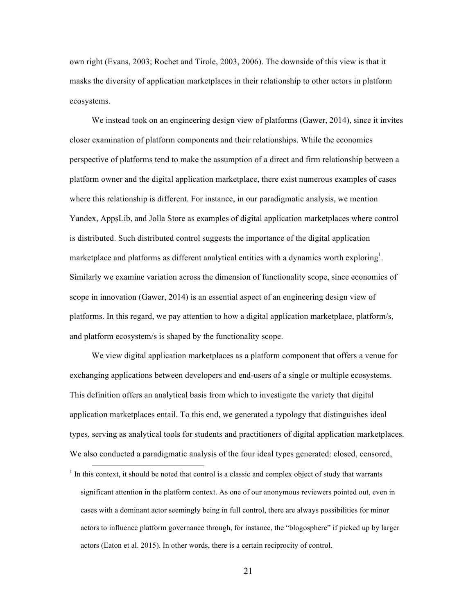own right (Evans, 2003; Rochet and Tirole, 2003, 2006). The downside of this view is that it masks the diversity of application marketplaces in their relationship to other actors in platform ecosystems.

We instead took on an engineering design view of platforms (Gawer, 2014), since it invites closer examination of platform components and their relationships. While the economics perspective of platforms tend to make the assumption of a direct and firm relationship between a platform owner and the digital application marketplace, there exist numerous examples of cases where this relationship is different. For instance, in our paradigmatic analysis, we mention Yandex, AppsLib, and Jolla Store as examples of digital application marketplaces where control is distributed. Such distributed control suggests the importance of the digital application marketplace and platforms as different analytical entities with a dynamics worth exploring<sup>1</sup>. Similarly we examine variation across the dimension of functionality scope, since economics of scope in innovation (Gawer, 2014) is an essential aspect of an engineering design view of platforms. In this regard, we pay attention to how a digital application marketplace, platform/s, and platform ecosystem/s is shaped by the functionality scope.

We view digital application marketplaces as a platform component that offers a venue for exchanging applications between developers and end-users of a single or multiple ecosystems. This definition offers an analytical basis from which to investigate the variety that digital application marketplaces entail. To this end, we generated a typology that distinguishes ideal types, serving as analytical tools for students and practitioners of digital application marketplaces. We also conducted a paradigmatic analysis of the four ideal types generated: closed, censored,

 $1$  In this context, it should be noted that control is a classic and complex object of study that warrants significant attention in the platform context. As one of our anonymous reviewers pointed out, even in cases with a dominant actor seemingly being in full control, there are always possibilities for minor actors to influence platform governance through, for instance, the "blogosphere" if picked up by larger actors (Eaton et al. 2015). In other words, there is a certain reciprocity of control.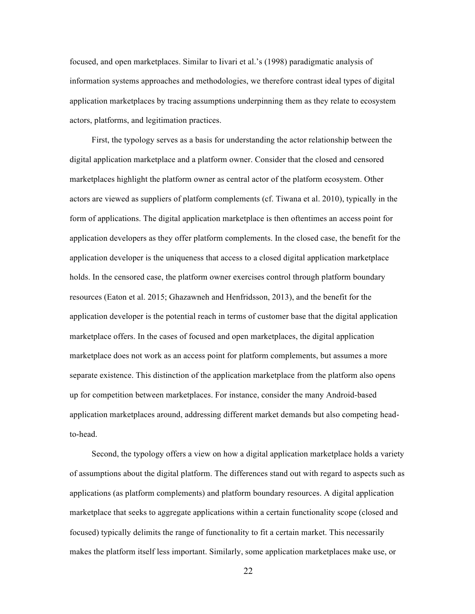focused, and open marketplaces. Similar to Iivari et al.'s (1998) paradigmatic analysis of information systems approaches and methodologies, we therefore contrast ideal types of digital application marketplaces by tracing assumptions underpinning them as they relate to ecosystem actors, platforms, and legitimation practices.

First, the typology serves as a basis for understanding the actor relationship between the digital application marketplace and a platform owner. Consider that the closed and censored marketplaces highlight the platform owner as central actor of the platform ecosystem. Other actors are viewed as suppliers of platform complements (cf. Tiwana et al. 2010), typically in the form of applications. The digital application marketplace is then oftentimes an access point for application developers as they offer platform complements. In the closed case, the benefit for the application developer is the uniqueness that access to a closed digital application marketplace holds. In the censored case, the platform owner exercises control through platform boundary resources (Eaton et al. 2015; Ghazawneh and Henfridsson, 2013), and the benefit for the application developer is the potential reach in terms of customer base that the digital application marketplace offers. In the cases of focused and open marketplaces, the digital application marketplace does not work as an access point for platform complements, but assumes a more separate existence. This distinction of the application marketplace from the platform also opens up for competition between marketplaces. For instance, consider the many Android-based application marketplaces around, addressing different market demands but also competing headto-head.

Second, the typology offers a view on how a digital application marketplace holds a variety of assumptions about the digital platform. The differences stand out with regard to aspects such as applications (as platform complements) and platform boundary resources. A digital application marketplace that seeks to aggregate applications within a certain functionality scope (closed and focused) typically delimits the range of functionality to fit a certain market. This necessarily makes the platform itself less important. Similarly, some application marketplaces make use, or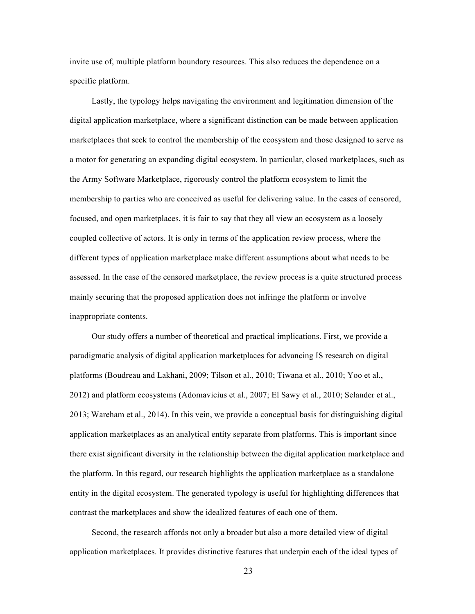invite use of, multiple platform boundary resources. This also reduces the dependence on a specific platform.

Lastly, the typology helps navigating the environment and legitimation dimension of the digital application marketplace, where a significant distinction can be made between application marketplaces that seek to control the membership of the ecosystem and those designed to serve as a motor for generating an expanding digital ecosystem. In particular, closed marketplaces, such as the Army Software Marketplace, rigorously control the platform ecosystem to limit the membership to parties who are conceived as useful for delivering value. In the cases of censored, focused, and open marketplaces, it is fair to say that they all view an ecosystem as a loosely coupled collective of actors. It is only in terms of the application review process, where the different types of application marketplace make different assumptions about what needs to be assessed. In the case of the censored marketplace, the review process is a quite structured process mainly securing that the proposed application does not infringe the platform or involve inappropriate contents.

Our study offers a number of theoretical and practical implications. First, we provide a paradigmatic analysis of digital application marketplaces for advancing IS research on digital platforms (Boudreau and Lakhani, 2009; Tilson et al., 2010; Tiwana et al., 2010; Yoo et al., 2012) and platform ecosystems (Adomavicius et al., 2007; El Sawy et al., 2010; Selander et al., 2013; Wareham et al., 2014). In this vein, we provide a conceptual basis for distinguishing digital application marketplaces as an analytical entity separate from platforms. This is important since there exist significant diversity in the relationship between the digital application marketplace and the platform. In this regard, our research highlights the application marketplace as a standalone entity in the digital ecosystem. The generated typology is useful for highlighting differences that contrast the marketplaces and show the idealized features of each one of them.

Second, the research affords not only a broader but also a more detailed view of digital application marketplaces. It provides distinctive features that underpin each of the ideal types of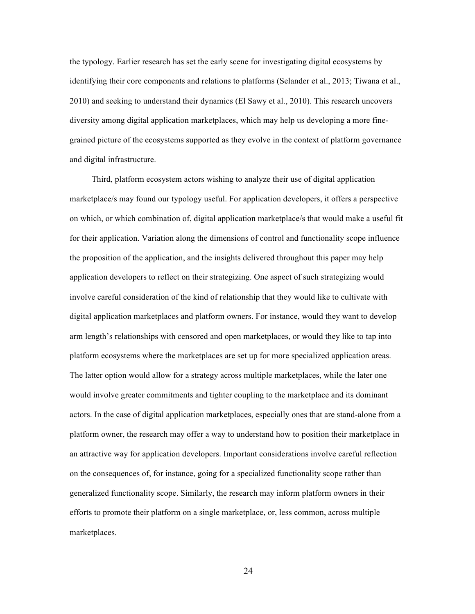the typology. Earlier research has set the early scene for investigating digital ecosystems by identifying their core components and relations to platforms (Selander et al., 2013; Tiwana et al., 2010) and seeking to understand their dynamics (El Sawy et al., 2010). This research uncovers diversity among digital application marketplaces, which may help us developing a more finegrained picture of the ecosystems supported as they evolve in the context of platform governance and digital infrastructure.

Third, platform ecosystem actors wishing to analyze their use of digital application marketplace/s may found our typology useful. For application developers, it offers a perspective on which, or which combination of, digital application marketplace/s that would make a useful fit for their application. Variation along the dimensions of control and functionality scope influence the proposition of the application, and the insights delivered throughout this paper may help application developers to reflect on their strategizing. One aspect of such strategizing would involve careful consideration of the kind of relationship that they would like to cultivate with digital application marketplaces and platform owners. For instance, would they want to develop arm length's relationships with censored and open marketplaces, or would they like to tap into platform ecosystems where the marketplaces are set up for more specialized application areas. The latter option would allow for a strategy across multiple marketplaces, while the later one would involve greater commitments and tighter coupling to the marketplace and its dominant actors. In the case of digital application marketplaces, especially ones that are stand-alone from a platform owner, the research may offer a way to understand how to position their marketplace in an attractive way for application developers. Important considerations involve careful reflection on the consequences of, for instance, going for a specialized functionality scope rather than generalized functionality scope. Similarly, the research may inform platform owners in their efforts to promote their platform on a single marketplace, or, less common, across multiple marketplaces.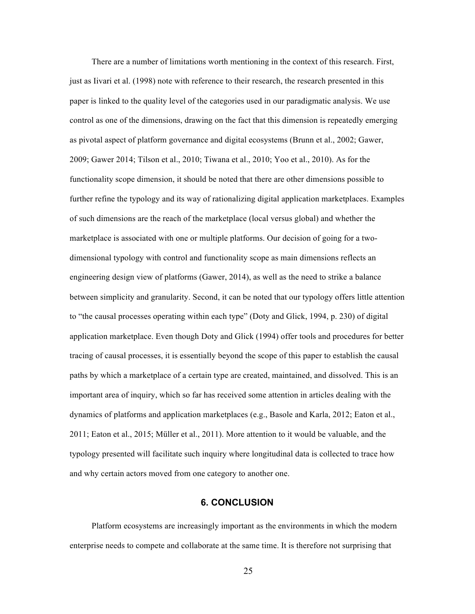There are a number of limitations worth mentioning in the context of this research. First, just as Iivari et al. (1998) note with reference to their research, the research presented in this paper is linked to the quality level of the categories used in our paradigmatic analysis. We use control as one of the dimensions, drawing on the fact that this dimension is repeatedly emerging as pivotal aspect of platform governance and digital ecosystems (Brunn et al., 2002; Gawer, 2009; Gawer 2014; Tilson et al., 2010; Tiwana et al., 2010; Yoo et al., 2010). As for the functionality scope dimension, it should be noted that there are other dimensions possible to further refine the typology and its way of rationalizing digital application marketplaces. Examples of such dimensions are the reach of the marketplace (local versus global) and whether the marketplace is associated with one or multiple platforms. Our decision of going for a twodimensional typology with control and functionality scope as main dimensions reflects an engineering design view of platforms (Gawer, 2014), as well as the need to strike a balance between simplicity and granularity. Second, it can be noted that our typology offers little attention to "the causal processes operating within each type" (Doty and Glick, 1994, p. 230) of digital application marketplace. Even though Doty and Glick (1994) offer tools and procedures for better tracing of causal processes, it is essentially beyond the scope of this paper to establish the causal paths by which a marketplace of a certain type are created, maintained, and dissolved. This is an important area of inquiry, which so far has received some attention in articles dealing with the dynamics of platforms and application marketplaces (e.g., Basole and Karla, 2012; Eaton et al., 2011; Eaton et al., 2015; Müller et al., 2011). More attention to it would be valuable, and the typology presented will facilitate such inquiry where longitudinal data is collected to trace how and why certain actors moved from one category to another one.

#### **6. CONCLUSION**

Platform ecosystems are increasingly important as the environments in which the modern enterprise needs to compete and collaborate at the same time. It is therefore not surprising that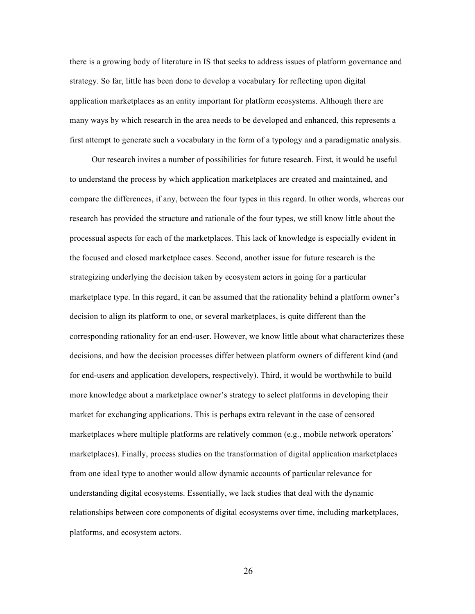there is a growing body of literature in IS that seeks to address issues of platform governance and strategy. So far, little has been done to develop a vocabulary for reflecting upon digital application marketplaces as an entity important for platform ecosystems. Although there are many ways by which research in the area needs to be developed and enhanced, this represents a first attempt to generate such a vocabulary in the form of a typology and a paradigmatic analysis.

Our research invites a number of possibilities for future research. First, it would be useful to understand the process by which application marketplaces are created and maintained, and compare the differences, if any, between the four types in this regard. In other words, whereas our research has provided the structure and rationale of the four types, we still know little about the processual aspects for each of the marketplaces. This lack of knowledge is especially evident in the focused and closed marketplace cases. Second, another issue for future research is the strategizing underlying the decision taken by ecosystem actors in going for a particular marketplace type. In this regard, it can be assumed that the rationality behind a platform owner's decision to align its platform to one, or several marketplaces, is quite different than the corresponding rationality for an end-user. However, we know little about what characterizes these decisions, and how the decision processes differ between platform owners of different kind (and for end-users and application developers, respectively). Third, it would be worthwhile to build more knowledge about a marketplace owner's strategy to select platforms in developing their market for exchanging applications. This is perhaps extra relevant in the case of censored marketplaces where multiple platforms are relatively common (e.g., mobile network operators' marketplaces). Finally, process studies on the transformation of digital application marketplaces from one ideal type to another would allow dynamic accounts of particular relevance for understanding digital ecosystems. Essentially, we lack studies that deal with the dynamic relationships between core components of digital ecosystems over time, including marketplaces, platforms, and ecosystem actors.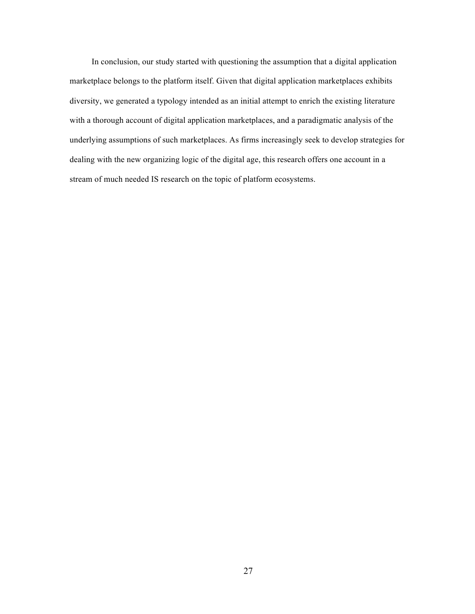In conclusion, our study started with questioning the assumption that a digital application marketplace belongs to the platform itself. Given that digital application marketplaces exhibits diversity, we generated a typology intended as an initial attempt to enrich the existing literature with a thorough account of digital application marketplaces, and a paradigmatic analysis of the underlying assumptions of such marketplaces. As firms increasingly seek to develop strategies for dealing with the new organizing logic of the digital age, this research offers one account in a stream of much needed IS research on the topic of platform ecosystems.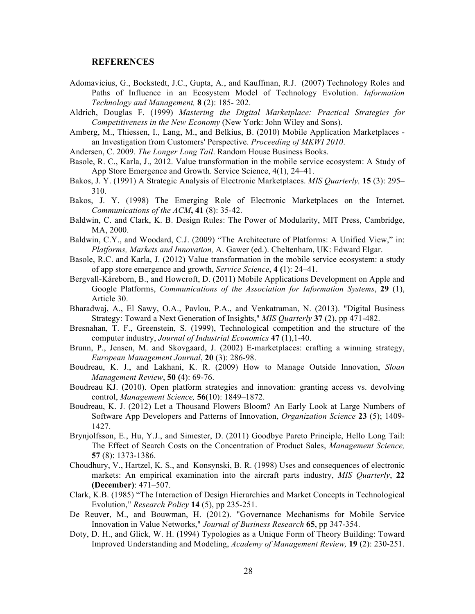#### **REFERENCES**

- Adomavicius, G., Bockstedt, J.C., Gupta, A., and Kauffman, R.J. (2007) Technology Roles and Paths of Influence in an Ecosystem Model of Technology Evolution. *Information Technology and Management,* **8** (2): 185- 202.
- Aldrich, Douglas F. (1999) *Mastering the Digital Marketplace: Practical Strategies for Competitiveness in the New Economy* (New York: John Wiley and Sons).
- Amberg, M., Thiessen, I., Lang, M., and Belkius, B. (2010) Mobile Application Marketplaces an Investigation from Customers' Perspective. *Proceeding of MKWI 2010*.
- Andersen, C. 2009. *The Longer Long Tail*. Random House Business Books.
- Basole, R. C., Karla, J., 2012. Value transformation in the mobile service ecosystem: A Study of App Store Emergence and Growth. Service Science, 4(1), 24–41.
- Bakos, J. Y. (1991) A Strategic Analysis of Electronic Marketplaces. *MIS Quarterly,* **15** (3): 295– 310.
- Bakos, J. Y. (1998) The Emerging Role of Electronic Marketplaces on the Internet. *Communications of the ACM***, 41** (8): 35-42.
- Baldwin, C. and Clark, K. B. Design Rules: The Power of Modularity, MIT Press, Cambridge, MA, 2000.
- Baldwin, C.Y., and Woodard, C.J. (2009) "The Architecture of Platforms: A Unified View," in: *Platforms, Markets and Innovation,* A. Gawer (ed.). Cheltenham, UK: Edward Elgar.
- Basole, R.C. and Karla, J. (2012) Value transformation in the mobile service ecosystem: a study of app store emergence and growth, *Service Science*, **4 (**1): 24–41.
- Bergvall-Kåreborn, B., and Howcroft, D. (2011) Mobile Applications Development on Apple and Google Platforms, *Communications of the Association for Information Systems*, **29** (1), Article 30.
- Bharadwaj, A., El Sawy, O.A., Pavlou, P.A., and Venkatraman, N. (2013). "Digital Business Strategy: Toward a Next Generation of Insights," *MIS Quarterly* **37** (2), pp 471-482.
- Bresnahan, T. F., Greenstein, S. (1999), Technological competition and the structure of the computer industry, *Journal of Industrial Economics* **47** (1),1-40.
- Brunn, P., Jensen, M. and Skovgaard, J. (2002) E-marketplaces: crafting a winning strategy, *European Management Journal*, **20** (3): 286-98.
- Boudreau, K. J., and Lakhani, K. R. (2009) How to Manage Outside Innovation, *Sloan Management Review*, **50 (**4): 69-76.
- Boudreau KJ. (2010). Open platform strategies and innovation: granting access vs. devolving control, *Management Science,* **56**(10): 1849–1872.
- Boudreau, K. J. (2012) Let a Thousand Flowers Bloom? An Early Look at Large Numbers of Software App Developers and Patterns of Innovation, *Organization Science* **23** (5); 1409- 1427.
- Brynjolfsson, E., Hu, Y.J., and Simester, D. (2011) Goodbye Pareto Principle, Hello Long Tail: The Effect of Search Costs on the Concentration of Product Sales, *Management Science,* **57** (8): 1373-1386.
- Choudhury, V., Hartzel, K. S., and Konsynski, B. R. (1998) Uses and consequences of electronic markets: An empirical examination into the aircraft parts industry, *MIS Quarterly*, **22 (December)**: 471–507.
- Clark, K.B. (1985) "The Interaction of Design Hierarchies and Market Concepts in Technological Evolution," *Research Policy* **14** (5), pp 235-251.
- De Reuver, M., and Bouwman, H. (2012). "Governance Mechanisms for Mobile Service Innovation in Value Networks," *Journal of Business Research* **65**, pp 347-354.
- Doty, D. H., and Glick, W. H. (1994) Typologies as a Unique Form of Theory Building: Toward Improved Understanding and Modeling, *Academy of Management Review,* **19** (2): 230-251.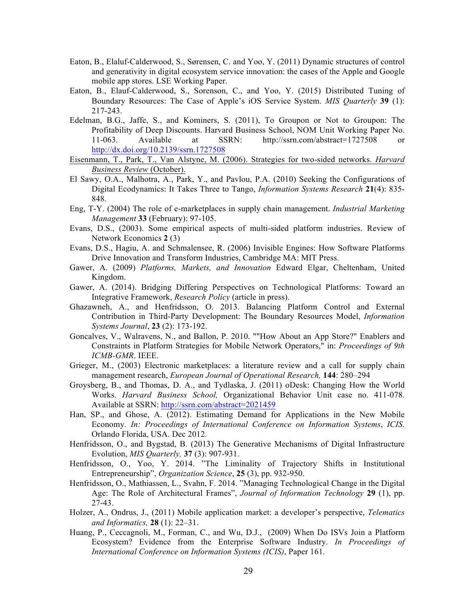- Eaton, B., Elaluf-Calderwood, S., Sørensen, C. and Yoo, Y. (2011) Dynamic structures of control and generativity in digital ecosystem service innovation: the cases of the Apple and Google mobile app stores. LSE Working Paper.
- Eaton, B., Elauf-Calderwood, S., Sorenson, C., and Yoo, Y. (2015) Distributed Tuning of Boundary Resources: The Case of Apple's iOS Service System. *MIS Quarterly* **39** (1): 217-243.
- Edelman, B.G., Jaffe, S., and Kominers, S. (2011), To Groupon or Not to Groupon: The Profitability of Deep Discounts. Harvard Business School, NOM Unit Working Paper No. 11-063. Available at SSRN: http://ssrn.com/abstract=1727508 or http://dx.doi.org/10.2139/ssrn.1727508
- Eisenmann, T., Park, T., Van Alstyne, M. (2006). Strategies for two-sided networks. *Harvard Business Review* (October).
- El Sawy, O.A., Malhotra, A., Park, Y., and Pavlou, P.A. (2010) Seeking the Configurations of Digital Ecodynamics: It Takes Three to Tango, *Information Systems Research* **21**(4): 835- 848.
- Eng, T-Y. (2004) The role of e-marketplaces in supply chain management. *Industrial Marketing Management* **33** (February): 97-105.
- Evans, D.S., (2003). Some empirical aspects of multi-sided platform industries. Review of Network Economics **2** (3)
- Evans, D.S., Hagiu, A. and Schmalensee, R. (2006) Invisible Engines: How Software Platforms Drive Innovation and Transform Industries, Cambridge MA: MIT Press.
- Gawer, A. (2009) *Platforms, Markets, and Innovation* Edward Elgar, Cheltenham, United Kingdom.
- Gawer, A. (2014). Bridging Differing Perspectives on Technological Platforms: Toward an Integrative Framework, *Research Policy* (article in press).
- Ghazawneh, A., and Henfridsson, O. 2013. Balancing Platform Control and External Contribution in Third-Party Development: The Boundary Resources Model, *Information Systems Journal*, **23** (2): 173-192.
- Goncalves, V., Walravens, N., and Ballon, P. 2010. ""How About an App Store?" Enablers and Constraints in Platform Strategies for Mobile Network Operators," in: *Proceedings of 9th ICMB-GMR*. IEEE.
- Grieger, M., (2003) Electronic marketplaces: a literature review and a call for supply chain management research, *European Journal of Operational Research,* **144**: 280–294
- Groysberg, B., and Thomas, D. A., and Tydlaska, J. (2011) oDesk: Changing How the World Works. *Harvard Business School,* Organizational Behavior Unit case no. 411-078. Available at SSRN: http://ssrn.com/abstract=2021459
- Han, SP., and Ghose, A. (2012). Estimating Demand for Applications in the New Mobile Economy*. In: Proceedings of International Conference on Information Systems*, *ICIS*. Orlando Florida, USA. Dec 2012.
- Henfridsson, O., and Bygstad, B. (2013) The Generative Mechanisms of Digital Infrastructure Evolution, *MIS Quarterly,* **37** (3): 907-931.
- Henfridsson, O., Yoo, Y. 2014. "The Liminality of Trajectory Shifts in Institutional Entrepreneurship", *Organization Science*, **25** (3), pp. 932-950.
- Henfridsson, O., Mathiassen, L., Svahn, F. 2014. "Managing Technological Change in the Digital Age: The Role of Architectural Frames", *Journal of Information Technology* **29** (1), pp. 27-43.
- Holzer, A., Ondrus, J., (2011) Mobile application market: a developer's perspective, *Telematics and Informatics,* **28** (1): 22–31.
- Huang, P., Ceccagnoli, M., Forman, C., and Wu, D.J., (2009) When Do ISVs Join a Platform Ecosystem? Evidence from the Enterprise Software Industry. *In Proceedings of International Conference on Information Systems (ICIS)*, Paper 161.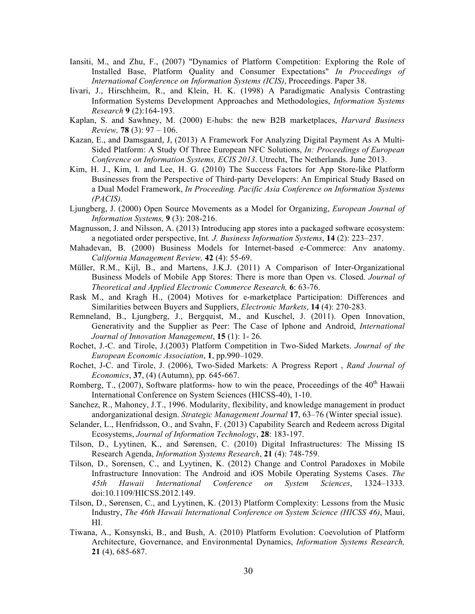- Iansiti, M., and Zhu, F., (2007) "Dynamics of Platform Competition: Exploring the Role of Installed Base, Platform Quality and Consumer Expectations" *In Proceedings of International Conference on Information Systems (ICIS)*, Proceedings. Paper 38.
- Iivari, J., Hirschheim, R., and Klein, H. K. (1998) A Paradigmatic Analysis Contrasting Information Systems Development Approaches and Methodologies, *Information Systems Research* **9** (2):164-193.
- Kaplan, S. and Sawhney, M. (2000) E-hubs: the new B2B marketplaces, *Harvard Business Review,* **78** (3): 97 – 106.
- Kazan, E., and Damsgaard, J, (2013) A Framework For Analyzing Digital Payment As A Multi-Sided Platform: A Study Of Three European NFC Solutions, *In: Proceedings of European Conference on Information Systems, ECIS 2013*. Utrecht, The Netherlands. June 2013.
- Kim, H. J., Kim, I. and Lee, H. G. (2010) The Success Factors for App Store-like Platform Businesses from the Perspective of Third-party Developers: An Empirical Study Based on a Dual Model Framework, *In Proceeding. Pacific Asia Conference on Information Systems (PACIS).*
- Ljungberg, J. (2000) Open Source Movements as a Model for Organizing, *European Journal of Information Systems,* **9** (3): 208-216.
- Magnusson, J. and Nilsson, A. (2013) Introducing app stores into a packaged software ecosystem: a negotiated order perspective, Int*. J. Business Information Systems*, **14** (2): 223–237.
- Mahadevan, B. (2000) Business Models for Internet-based e-Commerce: Anv anatomy. *California Management Review,* **42** (4): 55-69.
- Müller, R.M., Kijl, B., and Martens, J.K.J. (2011) A Comparison of Inter-Organizational Business Models of Mobile App Stores: There is more than Open vs. Closed. *Journal of Theoretical and Applied Electronic Commerce Research,* **6**: 63-76.
- Rask M., and Kragh H., (2004) Motives for e-marketplace Participation: Differences and Similarities between Buyers and Suppliers, *Electronic Markets*, **14** (4): 270-283.
- Remneland, B., Ljungberg, J., Bergquist, M., and Kuschel, J. (2011). Open Innovation, Generativity and the Supplier as Peer: The Case of Iphone and Android, *International Journal of Innovation Management*, **15** (1): 1- 26.
- Rochet, J.-C. and Tirole, J.(2003) Platform Competition in Two-Sided Markets. *Journal of the European Economic Association*, **1**, pp.990–1029.
- Rochet, J-C. and Tirole, J. (2006), Two-Sided Markets: A Progress Report , *Rand Journal of Economics*, **37**, (4) (Autumn), pp. 645-667.
- Romberg, T.,  $(2007)$ , Software platforms- how to win the peace, Proceedings of the  $40<sup>th</sup>$  Hawaii International Conference on System Sciences (HICSS-40), 1-10.
- Sanchez, R., Mahoney, J.T., 1996. Modularity, flexibility, and knowledge management in product andorganizational design. *Strategic Management Journal* **17**, 63–76 (Winter special issue).
- Selander, L., Henfridsson, O., and Svahn, F. (2013) Capability Search and Redeem across Digital Ecosystems, *Journal of Information Technology*, **28**: 183-197.
- Tilson, D., Lyytinen, K., and Sørensen, C. (2010) Digital Infrastructures: The Missing IS Research Agenda, *Information Systems Research*, **21** (4): 748-759.
- Tilson, D., Sorensen, C., and Lyytinen, K. (2012) Change and Control Paradoxes in Mobile Infrastructure Innovation: The Android and iOS Mobile Operating Systems Cases. *The 45th Hawaii International Conference on System Sciences*, 1324–1333. doi:10.1109/HICSS.2012.149.
- Tilson, D., Sørensen, C., and Lyytinen, K. (2013) Platform Complexity: Lessons from the Music Industry, *The 46th Hawaii International Conference on System Science (HICSS 46)*, Maui, HI.
- Tiwana, A., Konsynski, B., and Bush, A. (2010) Platform Evolution: Coevolution of Platform Architecture, Governance, and Environmental Dynamics, *Information Systems Research,* **21** (4), 685-687.